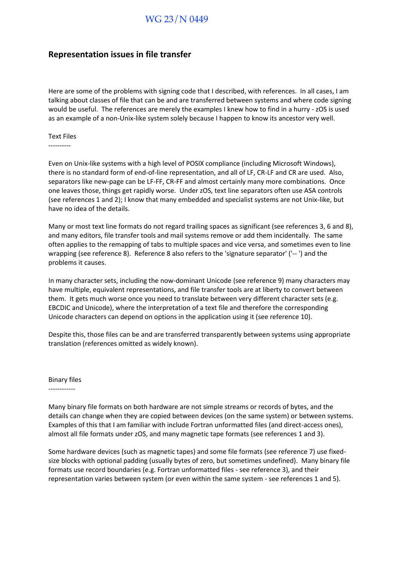## WG 23/N 0449

## **Representation issues in file transfer**

Here are some of the problems with signing code that I described, with references. In all cases, I am talking about classes of file that can be and are transferred between systems and where code signing would be useful. The references are merely the examples I knew how to find in a hurry - zOS is used as an example of a non-Unix-like system solely because I happen to know its ancestor very well.

Text Files

----------

Even on Unix-like systems with a high level of POSIX compliance (including Microsoft Windows), there is no standard form of end-of-line representation, and all of LF, CR-LF and CR are used. Also, separators like new-page can be LF-FF, CR-FF and almost certainly many more combinations. Once one leaves those, things get rapidly worse. Under zOS, text line separators often use ASA controls (see references 1 and 2); I know that many embedded and specialist systems are not Unix-like, but have no idea of the details.

Many or most text line formats do not regard trailing spaces as significant (see references 3, 6 and 8), and many editors, file transfer tools and mail systems remove or add them incidentally. The same often applies to the remapping of tabs to multiple spaces and vice versa, and sometimes even to line wrapping (see reference 8). Reference 8 also refers to the 'signature separator' ('-- ') and the problems it causes.

In many character sets, including the now-dominant Unicode (see reference 9) many characters may have multiple, equivalent representations, and file transfer tools are at liberty to convert between them. It gets much worse once you need to translate between very different character sets (e.g. EBCDIC and Unicode), where the interpretation of a text file and therefore the corresponding Unicode characters can depend on options in the application using it (see reference 10).

Despite this, those files can be and are transferred transparently between systems using appropriate translation (references omitted as widely known).

Binary files

------------

Many binary file formats on both hardware are not simple streams or records of bytes, and the details can change when they are copied between devices (on the same system) or between systems. Examples of this that I am familiar with include Fortran unformatted files (and direct-access ones), almost all file formats under zOS, and many magnetic tape formats (see references 1 and 3).

Some hardware devices (such as magnetic tapes) and some file formats (see reference 7) use fixedsize blocks with optional padding (usually bytes of zero, but sometimes undefined). Many binary file formats use record boundaries (e.g. Fortran unformatted files - see reference 3), and their representation varies between system (or even within the same system - see references 1 and 5).